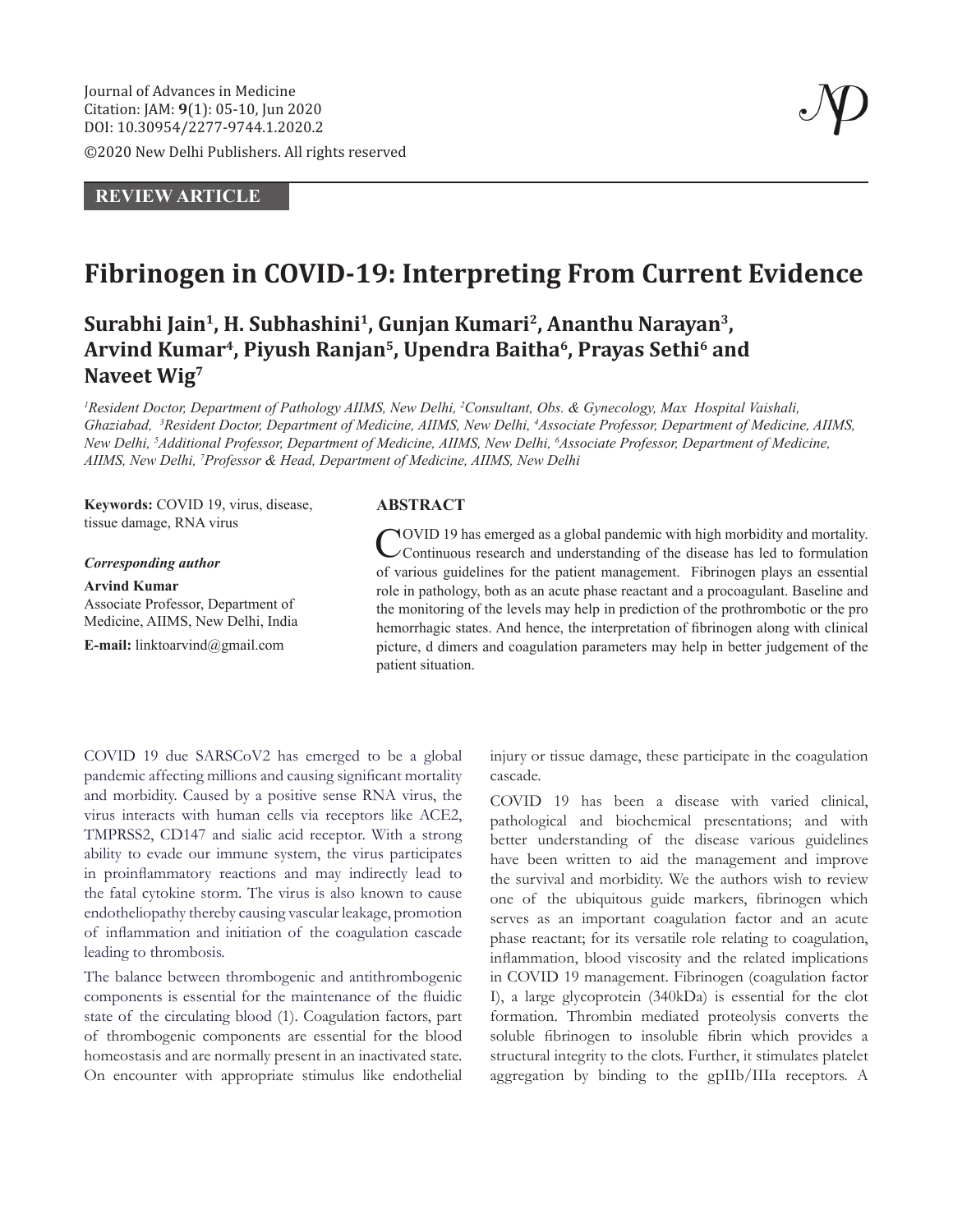©2020 New Delhi Publishers. All rights reserved

# **REVIEW ARTICLE**

# **Fibrinogen in COVID-19: Interpreting From Current Evidence**

**Surabhi Jain1, H. Subhashini1, Gunjan Kumari2, Ananthu Narayan3, Arvind Kumar4, Piyush Ranjan5, Upendra Baitha6, Prayas Sethi6 and Naveet Wig7**

*1 Resident Doctor, Department of Pathology AIIMS, New Delhi, 2 Consultant, Obs. & Gynecology, Max Hospital Vaishali,*  Ghaziabad, <sup>3</sup>Resident Doctor, Department of Medicine, AIIMS, New Delhi, <sup>4</sup>Associate Professor, Department of Medicine, AIIMS, *New Delhi, 5 Additional Professor, Department of Medicine, AIIMS, New Delhi, 6 Associate Professor, Department of Medicine, AIIMS, New Delhi, 7 Professor & Head, Department of Medicine, AIIMS, New Delhi*

**Keywords:** COVID 19, virus, disease, tissue damage, RNA virus

#### *Corresponding author*

**Arvind Kumar** Associate Professor, Department of

Medicine, AIIMS, New Delhi, India **E-mail:** linktoarvind@gmail.com

## **ABSTRACT**

COVID 19 has emerged as a global pandemic with high morbidity and mortality. Continuous research and understanding of the disease has led to formulation of various guidelines for the patient management. Fibrinogen plays an essential role in pathology, both as an acute phase reactant and a procoagulant. Baseline and the monitoring of the levels may help in prediction of the prothrombotic or the pro hemorrhagic states. And hence, the interpretation of fibrinogen along with clinical picture, d dimers and coagulation parameters may help in better judgement of the patient situation.

COVID 19 due SARSCoV2 has emerged to be a global pandemic affecting millions and causing significant mortality and morbidity. Caused by a positive sense RNA virus, the virus interacts with human cells via receptors like ACE2, TMPRSS2, CD147 and sialic acid receptor. With a strong ability to evade our immune system, the virus participates in proinflammatory reactions and may indirectly lead to the fatal cytokine storm. The virus is also known to cause endotheliopathy thereby causing vascular leakage, promotion of inflammation and initiation of the coagulation cascade leading to thrombosis.

The balance between thrombogenic and antithrombogenic components is essential for the maintenance of the fluidic state of the circulating blood (1). Coagulation factors, part of thrombogenic components are essential for the blood homeostasis and are normally present in an inactivated state. On encounter with appropriate stimulus like endothelial injury or tissue damage, these participate in the coagulation cascade.

COVID 19 has been a disease with varied clinical, pathological and biochemical presentations; and with better understanding of the disease various guidelines have been written to aid the management and improve the survival and morbidity. We the authors wish to review one of the ubiquitous guide markers, fibrinogen which serves as an important coagulation factor and an acute phase reactant; for its versatile role relating to coagulation, inflammation, blood viscosity and the related implications in COVID 19 management. Fibrinogen (coagulation factor I), a large glycoprotein (340kDa) is essential for the clot formation. Thrombin mediated proteolysis converts the soluble fibrinogen to insoluble fibrin which provides a structural integrity to the clots. Further, it stimulates platelet aggregation by binding to the gpIIb/IIIa receptors. A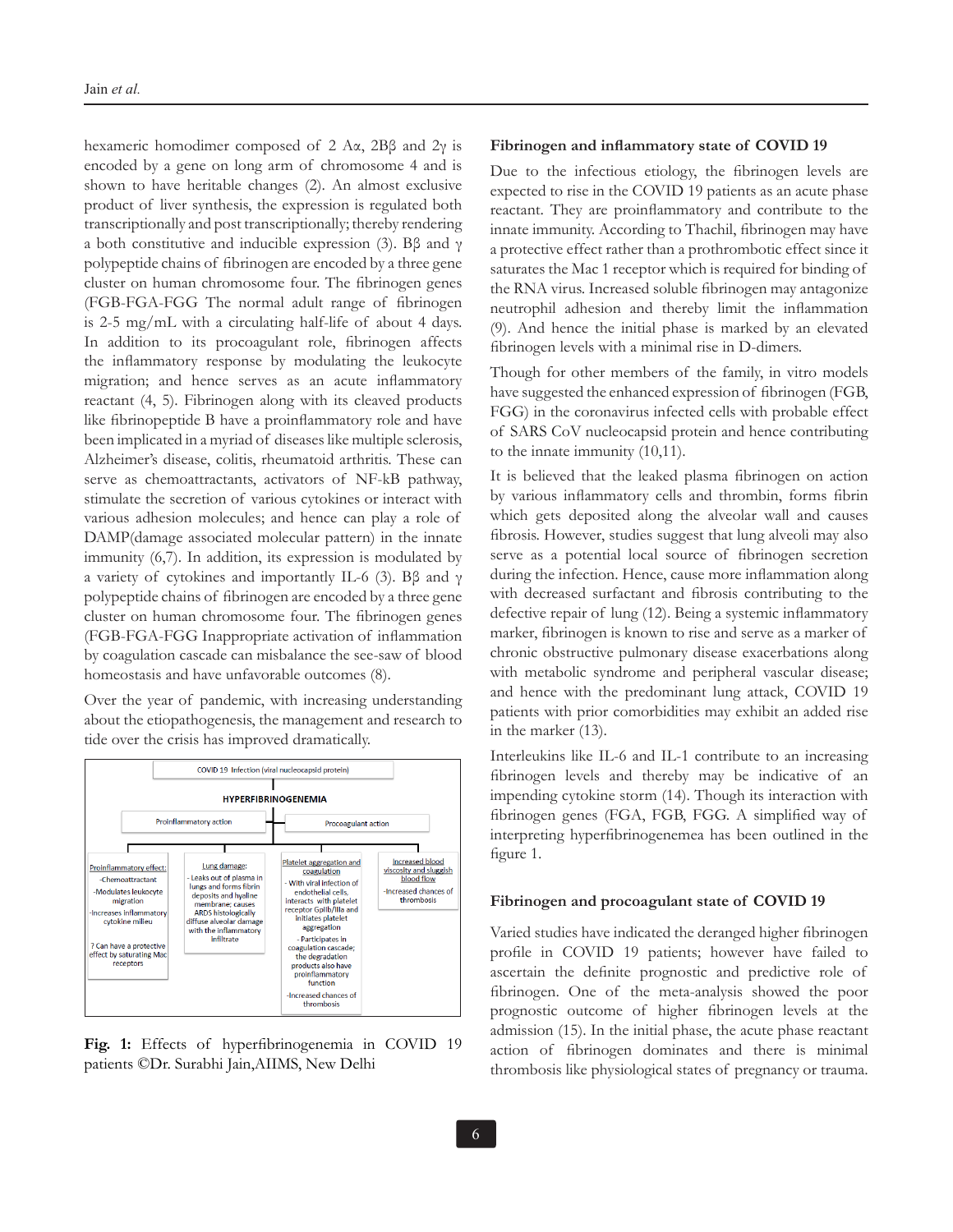hexameric homodimer composed of 2 Aα, 2Bβ and 2γ is encoded by a gene on long arm of chromosome 4 and is shown to have heritable changes (2). An almost exclusive product of liver synthesis, the expression is regulated both transcriptionally and post transcriptionally; thereby rendering a both constitutive and inducible expression (3). Bβ and  $γ$ polypeptide chains of fibrinogen are encoded by a three gene cluster on human chromosome four. The fibrinogen genes (FGB-FGA-FGG The normal adult range of fibrinogen is 2-5 mg/mL with a circulating half-life of about 4 days. In addition to its procoagulant role, fibrinogen affects the inflammatory response by modulating the leukocyte migration; and hence serves as an acute inflammatory reactant (4, 5). Fibrinogen along with its cleaved products like fibrinopeptide B have a proinflammatory role and have been implicated in a myriad of diseases like multiple sclerosis, Alzheimer's disease, colitis, rheumatoid arthritis. These can serve as chemoattractants, activators of NF-kB pathway, stimulate the secretion of various cytokines or interact with various adhesion molecules; and hence can play a role of DAMP(damage associated molecular pattern) in the innate immunity (6,7). In addition, its expression is modulated by a variety of cytokines and importantly IL-6 (3). Bβ and  $γ$ polypeptide chains of fibrinogen are encoded by a three gene cluster on human chromosome four. The fibrinogen genes (FGB-FGA-FGG Inappropriate activation of inflammation by coagulation cascade can misbalance the see-saw of blood homeostasis and have unfavorable outcomes (8).

Over the year of pandemic, with increasing understanding about the etiopathogenesis, the management and research to tide over the crisis has improved dramatically.



**Fig. 1:** Effects of hyperfibrinogenemia in COVID 19 patients ©Dr. Surabhi Jain,AIIMS, New Delhi

## **Fibrinogen and inflammatory state of COVID 19**

Due to the infectious etiology, the fibrinogen levels are expected to rise in the COVID 19 patients as an acute phase reactant. They are proinflammatory and contribute to the innate immunity. According to Thachil, fibrinogen may have a protective effect rather than a prothrombotic effect since it saturates the Mac 1 receptor which is required for binding of the RNA virus. Increased soluble fibrinogen may antagonize neutrophil adhesion and thereby limit the inflammation (9). And hence the initial phase is marked by an elevated fibrinogen levels with a minimal rise in D-dimers.

Though for other members of the family, in vitro models have suggested the enhanced expression of fibrinogen (FGB, FGG) in the coronavirus infected cells with probable effect of SARS CoV nucleocapsid protein and hence contributing to the innate immunity (10,11).

It is believed that the leaked plasma fibrinogen on action by various inflammatory cells and thrombin, forms fibrin which gets deposited along the alveolar wall and causes fibrosis. However, studies suggest that lung alveoli may also serve as a potential local source of fibrinogen secretion during the infection. Hence, cause more inflammation along with decreased surfactant and fibrosis contributing to the defective repair of lung (12). Being a systemic inflammatory marker, fibrinogen is known to rise and serve as a marker of chronic obstructive pulmonary disease exacerbations along with metabolic syndrome and peripheral vascular disease; and hence with the predominant lung attack, COVID 19 patients with prior comorbidities may exhibit an added rise in the marker (13).

Interleukins like IL-6 and IL-1 contribute to an increasing fibrinogen levels and thereby may be indicative of an impending cytokine storm (14). Though its interaction with fibrinogen genes (FGA, FGB, FGG. A simplified way of interpreting hyperfibrinogenemea has been outlined in the figure 1.

#### **Fibrinogen and procoagulant state of COVID 19**

Varied studies have indicated the deranged higher fibrinogen profile in COVID 19 patients; however have failed to ascertain the definite prognostic and predictive role of fibrinogen. One of the meta-analysis showed the poor prognostic outcome of higher fibrinogen levels at the admission (15). In the initial phase, the acute phase reactant action of fibrinogen dominates and there is minimal thrombosis like physiological states of pregnancy or trauma.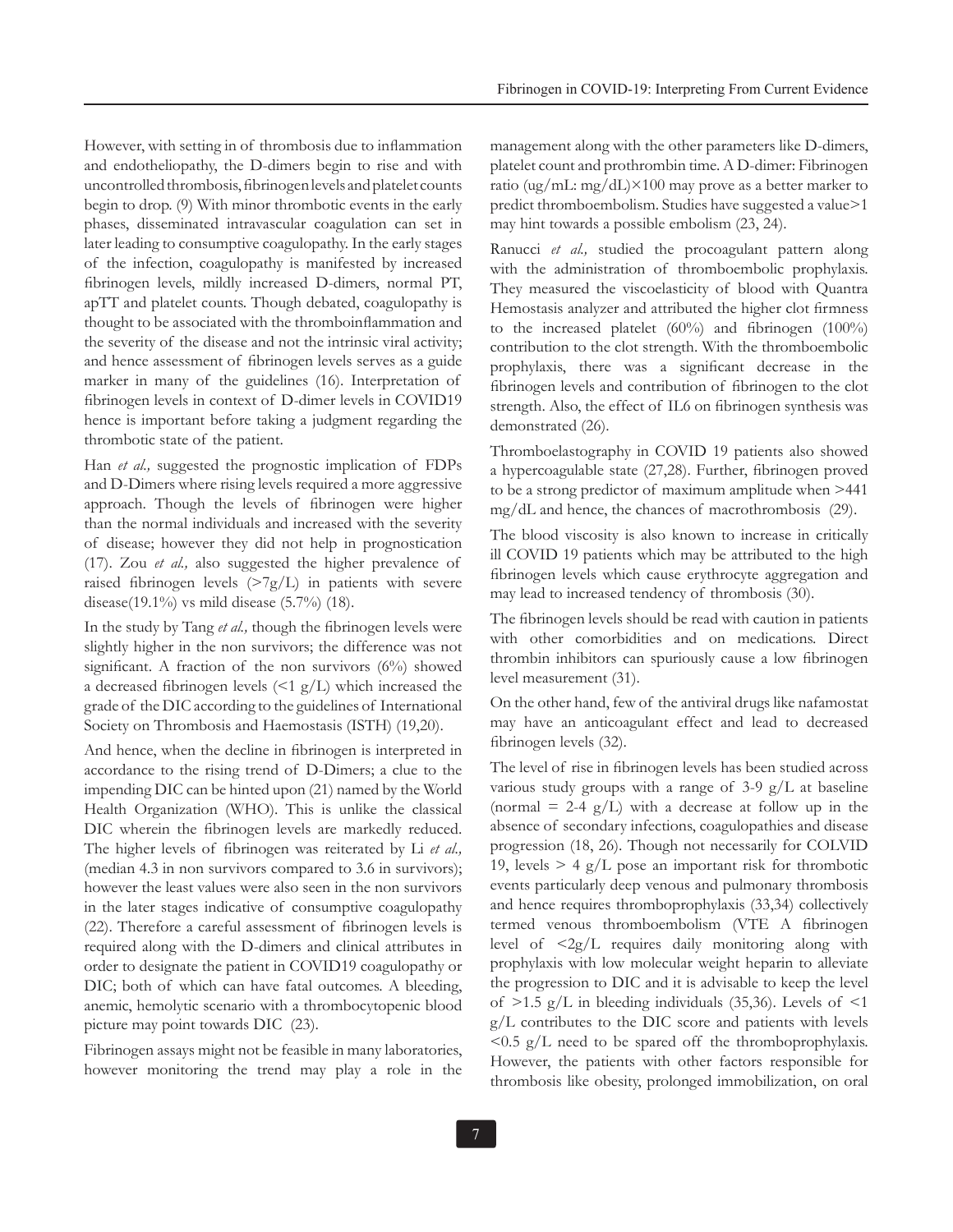However, with setting in of thrombosis due to inflammation and endotheliopathy, the D-dimers begin to rise and with uncontrolled thrombosis, fibrinogen levels and platelet counts begin to drop. (9) With minor thrombotic events in the early phases, disseminated intravascular coagulation can set in later leading to consumptive coagulopathy. In the early stages of the infection, coagulopathy is manifested by increased fibrinogen levels, mildly increased D-dimers, normal PT, apTT and platelet counts. Though debated, coagulopathy is thought to be associated with the thromboinflammation and the severity of the disease and not the intrinsic viral activity; and hence assessment of fibrinogen levels serves as a guide marker in many of the guidelines (16). Interpretation of fibrinogen levels in context of D-dimer levels in COVID19 hence is important before taking a judgment regarding the thrombotic state of the patient.

Han *et al.,* suggested the prognostic implication of FDPs and D-Dimers where rising levels required a more aggressive approach. Though the levels of fibrinogen were higher than the normal individuals and increased with the severity of disease; however they did not help in prognostication (17). Zou *et al.,* also suggested the higher prevalence of raised fibrinogen levels  $(>\frac{7g}{L})$  in patients with severe disease(19.1%) vs mild disease (5.7%) (18).

In the study by Tang *et al.,* though the fibrinogen levels were slightly higher in the non survivors; the difference was not significant. A fraction of the non survivors (6%) showed a decreased fibrinogen levels  $\leq 1$  g/L) which increased the grade of the DIC according to the guidelines of International Society on Thrombosis and Haemostasis (ISTH) (19,20).

And hence, when the decline in fibrinogen is interpreted in accordance to the rising trend of D-Dimers; a clue to the impending DIC can be hinted upon (21) named by the World Health Organization (WHO). This is unlike the classical DIC wherein the fibrinogen levels are markedly reduced. The higher levels of fibrinogen was reiterated by Li *et al.,* (median 4.3 in non survivors compared to 3.6 in survivors); however the least values were also seen in the non survivors in the later stages indicative of consumptive coagulopathy (22). Therefore a careful assessment of fibrinogen levels is required along with the D-dimers and clinical attributes in order to designate the patient in COVID19 coagulopathy or DIC; both of which can have fatal outcomes. A bleeding, anemic, hemolytic scenario with a thrombocytopenic blood picture may point towards DIC (23).

Fibrinogen assays might not be feasible in many laboratories, however monitoring the trend may play a role in the management along with the other parameters like D-dimers, platelet count and prothrombin time. A D-dimer: Fibrinogen ratio (ug/mL: mg/dL)×100 may prove as a better marker to predict thromboembolism. Studies have suggested a value>1 may hint towards a possible embolism (23, 24).

Ranucci *et al.,* studied the procoagulant pattern along with the administration of thromboembolic prophylaxis. They measured the viscoelasticity of blood with Quantra Hemostasis analyzer and attributed the higher clot firmness to the increased platelet (60%) and fibrinogen (100%) contribution to the clot strength. With the thromboembolic prophylaxis, there was a significant decrease in the fibrinogen levels and contribution of fibrinogen to the clot strength. Also, the effect of IL6 on fibrinogen synthesis was demonstrated (26).

Thromboelastography in COVID 19 patients also showed a hypercoagulable state (27,28). Further, fibrinogen proved to be a strong predictor of maximum amplitude when >441 mg/dL and hence, the chances of macrothrombosis (29).

The blood viscosity is also known to increase in critically ill COVID 19 patients which may be attributed to the high fibrinogen levels which cause erythrocyte aggregation and may lead to increased tendency of thrombosis (30).

The fibrinogen levels should be read with caution in patients with other comorbidities and on medications. Direct thrombin inhibitors can spuriously cause a low fibrinogen level measurement (31).

On the other hand, few of the antiviral drugs like nafamostat may have an anticoagulant effect and lead to decreased fibrinogen levels (32).

The level of rise in fibrinogen levels has been studied across various study groups with a range of  $3-9$  g/L at baseline (normal  $= 2-4$  g/L) with a decrease at follow up in the absence of secondary infections, coagulopathies and disease progression (18, 26). Though not necessarily for COLVID 19, levels  $> 4$  g/L pose an important risk for thrombotic events particularly deep venous and pulmonary thrombosis and hence requires thromboprophylaxis (33,34) collectively termed venous thromboembolism (VTE A fibrinogen level of  $\langle 2g/L \rangle$  requires daily monitoring along with prophylaxis with low molecular weight heparin to alleviate the progression to DIC and it is advisable to keep the level of  $>1.5$  g/L in bleeding individuals (35,36). Levels of  $\leq 1$ g/L contributes to the DIC score and patients with levels  $\leq 0.5$  g/L need to be spared off the thromboprophylaxis. However, the patients with other factors responsible for thrombosis like obesity, prolonged immobilization, on oral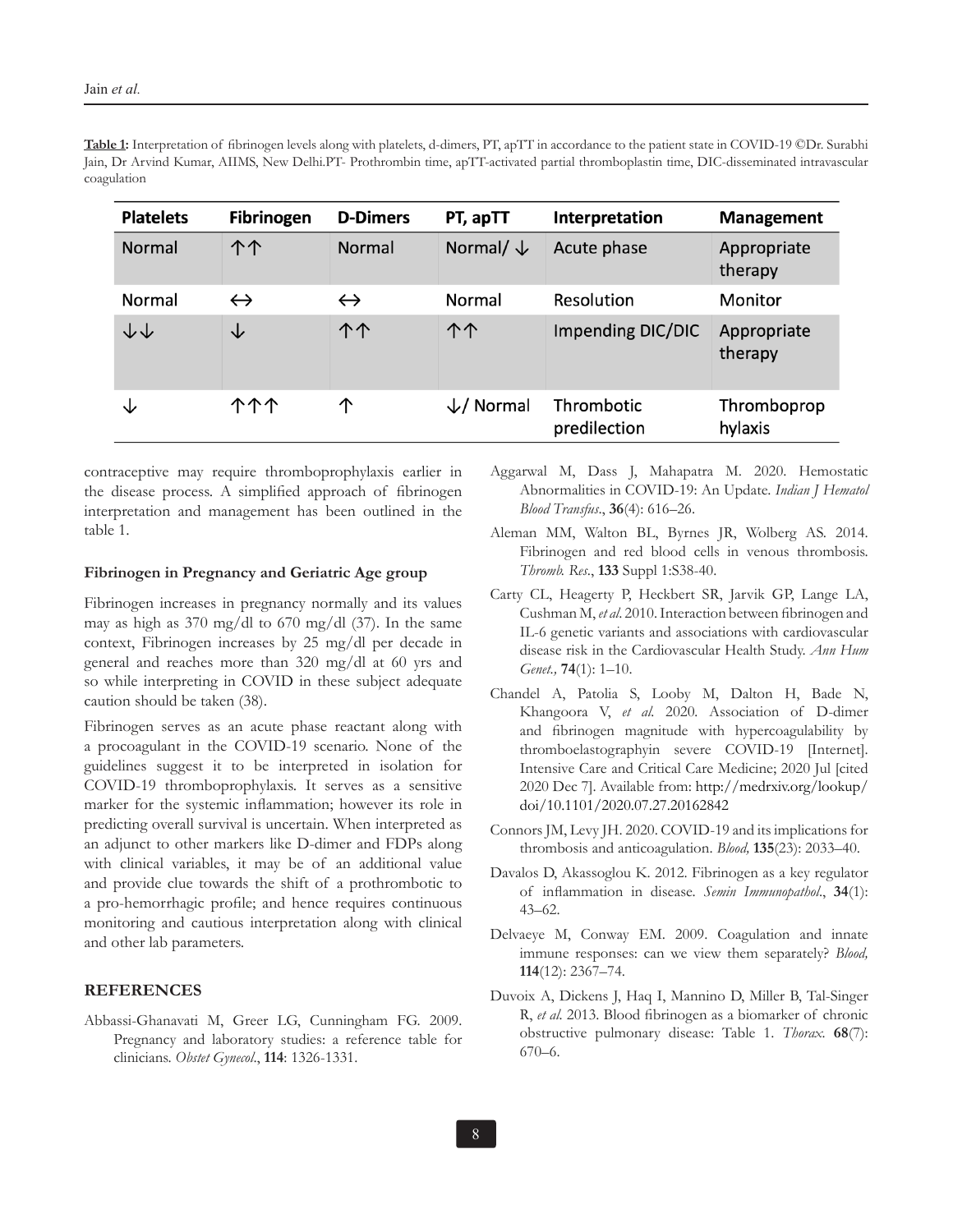**Table 1:** Interpretation of fibrinogen levels along with platelets, d-dimers, PT, apTT in accordance to the patient state in COVID-19 ©Dr. Surabhi Jain, Dr Arvind Kumar, AIIMS, New Delhi.PT- Prothrombin time, apTT-activated partial thromboplastin time, DIC-disseminated intravascular coagulation

| <b>Platelets</b> | <b>Fibrinogen</b> | <b>D-Dimers</b>   | PT, apTT              | Interpretation             | <b>Management</b>      |
|------------------|-------------------|-------------------|-----------------------|----------------------------|------------------------|
| <b>Normal</b>    | 个个                | Normal            | Normal/ $\downarrow$  | Acute phase                | Appropriate<br>therapy |
| Normal           | $\leftrightarrow$ | $\leftrightarrow$ | Normal                | Resolution                 | Monitor                |
| ↓↓               | ◡                 | 个个                | 个个                    | <b>Impending DIC/DIC</b>   | Appropriate<br>therapy |
| ◡                | <u> ተተ</u>        | 个                 | $\downarrow$ / Normal | Thrombotic<br>predilection | Thromboprop<br>hylaxis |

contraceptive may require thromboprophylaxis earlier in the disease process. A simplified approach of fibrinogen interpretation and management has been outlined in the table 1.

## **Fibrinogen in Pregnancy and Geriatric Age group**

Fibrinogen increases in pregnancy normally and its values may as high as 370 mg/dl to 670 mg/dl (37). In the same context, Fibrinogen increases by 25 mg/dl per decade in general and reaches more than 320 mg/dl at 60 yrs and so while interpreting in COVID in these subject adequate caution should be taken (38).

Fibrinogen serves as an acute phase reactant along with a procoagulant in the COVID-19 scenario. None of the guidelines suggest it to be interpreted in isolation for COVID-19 thromboprophylaxis. It serves as a sensitive marker for the systemic inflammation; however its role in predicting overall survival is uncertain. When interpreted as an adjunct to other markers like D-dimer and FDPs along with clinical variables, it may be of an additional value and provide clue towards the shift of a prothrombotic to a pro-hemorrhagic profile; and hence requires continuous monitoring and cautious interpretation along with clinical and other lab parameters.

## **REFERENCES**

Abbassi-Ghanavati M, Greer LG, Cunningham FG. 2009. Pregnancy and laboratory studies: a reference table for clinicians. *Obstet Gynecol*., **114**: 1326-1331.

- Aggarwal M, Dass J, Mahapatra M. 2020. Hemostatic Abnormalities in COVID-19: An Update. *Indian J Hematol Blood Transfus*., **36**(4): 616–26.
- Aleman MM, Walton BL, Byrnes JR, Wolberg AS. 2014. Fibrinogen and red blood cells in venous thrombosis. *Thromb. Res*., **133** Suppl 1:S38-40.
- Carty CL, Heagerty P, Heckbert SR, Jarvik GP, Lange LA, Cushman M, *et al*. 2010. Interaction between fibrinogen and IL-6 genetic variants and associations with cardiovascular disease risk in the Cardiovascular Health Study. *Ann Hum Genet.,* **74**(1): 1–10.
- Chandel A, Patolia S, Looby M, Dalton H, Bade N, Khangoora V, *et al.* 2020*.* Association of D-dimer and fibrinogen magnitude with hypercoagulability by thromboelastographyin severe COVID-19 [Internet]. Intensive Care and Critical Care Medicine; 2020 Jul [cited 2020 Dec 7]. Available from: http://medrxiv.org/lookup/ doi/10.1101/2020.07.27.20162842
- Connors JM, Levy JH. 2020. COVID-19 and its implications for thrombosis and anticoagulation. *Blood,* **135**(23): 2033–40.
- Davalos D, Akassoglou K. 2012. Fibrinogen as a key regulator of inflammation in disease. *Semin Immunopathol*., **34**(1): 43–62.
- Delvaeye M, Conway EM. 2009. Coagulation and innate immune responses: can we view them separately? *Blood,*  **114**(12): 2367–74.
- Duvoix A, Dickens J, Haq I, Mannino D, Miller B, Tal-Singer R, *et al.* 2013. Blood fibrinogen as a biomarker of chronic obstructive pulmonary disease: Table 1. *Thorax.* **68**(7): 670–6.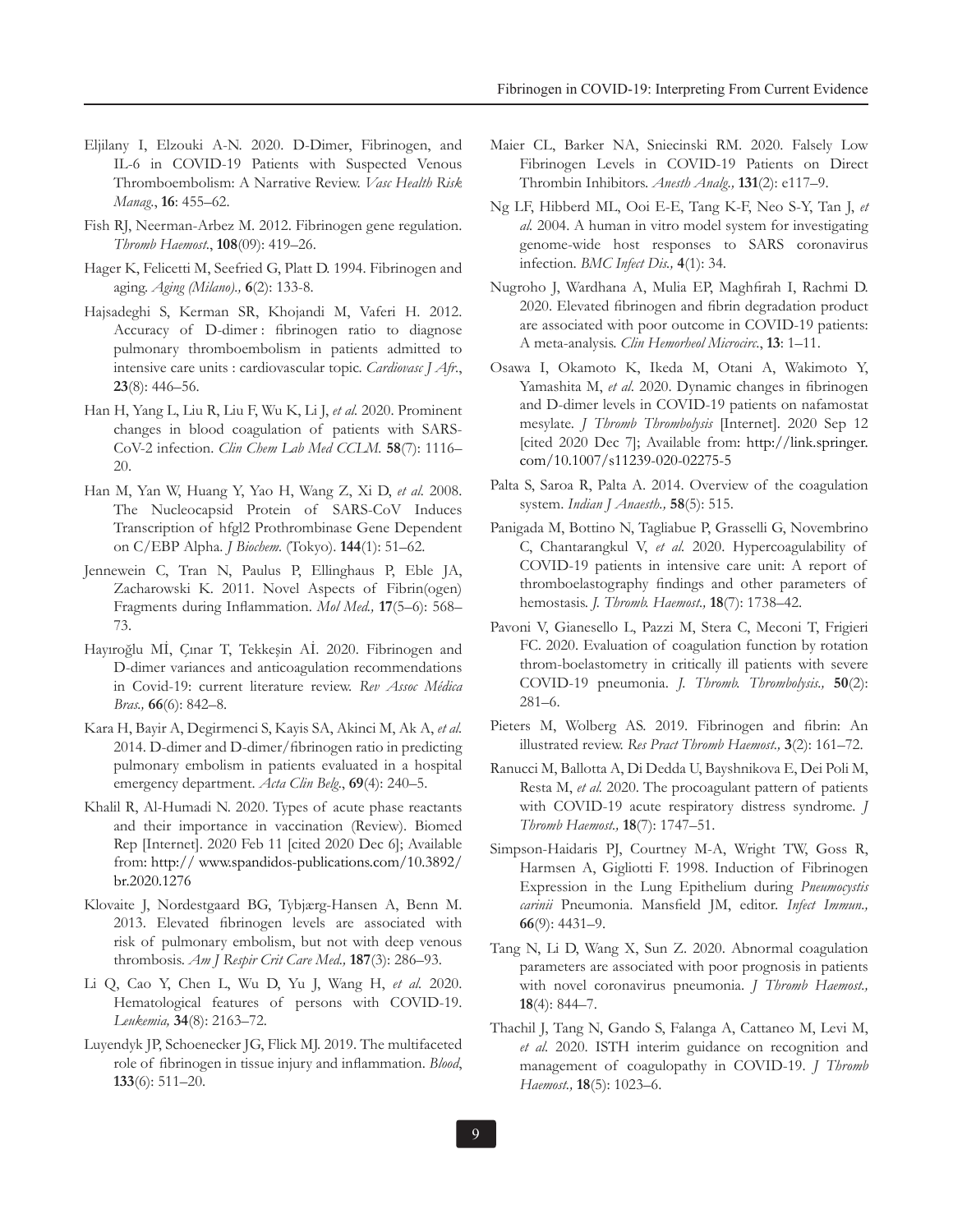- Eljilany I, Elzouki A-N. 2020. D-Dimer, Fibrinogen, and IL-6 in COVID-19 Patients with Suspected Venous Thromboembolism: A Narrative Review. *Vasc Health Risk Manag*., **16**: 455–62.
- Fish RJ, Neerman-Arbez M. 2012. Fibrinogen gene regulation. *Thromb Haemost*., **108**(09): 419–26.
- Hager K, Felicetti M, Seefried G, Platt D. 1994. Fibrinogen and aging. *Aging (Milano).,* **6**(2): 133-8.
- Hajsadeghi S, Kerman SR, Khojandi M, Vaferi H. 2012. Accuracy of D-dimer : fibrinogen ratio to diagnose pulmonary thromboembolism in patients admitted to intensive care units : cardiovascular topic. *Cardiovasc J Afr*., **23**(8): 446–56.
- Han H, Yang L, Liu R, Liu F, Wu K, Li J, *et al.* 2020. Prominent changes in blood coagulation of patients with SARS-CoV-2 infection. *Clin Chem Lab Med CCLM.* **58**(7): 1116– 20.
- Han M, Yan W, Huang Y, Yao H, Wang Z, Xi D, *et al.* 2008. The Nucleocapsid Protein of SARS-CoV Induces Transcription of hfgl2 Prothrombinase Gene Dependent on C/EBP Alpha. *J Biochem.* (Tokyo). **144**(1): 51–62.
- Jennewein C, Tran N, Paulus P, Ellinghaus P, Eble JA, Zacharowski K. 2011. Novel Aspects of Fibrin(ogen) Fragments during Inflammation. *Mol Med.,* **17**(5–6): 568– 73.
- Hayıroğlu Mİ, Çınar T, Tekkeşin Aİ. 2020. Fibrinogen and D-dimer variances and anticoagulation recommendations in Covid-19: current literature review. *Rev Assoc Médica Bras.,* **66**(6): 842–8.
- Kara H, Bayir A, Degirmenci S, Kayis SA, Akinci M, Ak A, *et al.* 2014. D-dimer and D-dimer/fibrinogen ratio in predicting pulmonary embolism in patients evaluated in a hospital emergency department. *Acta Clin Belg*., **69**(4): 240–5.
- Khalil R, Al-Humadi N. 2020. Types of acute phase reactants and their importance in vaccination (Review). Biomed Rep [Internet]. 2020 Feb 11 [cited 2020 Dec 6]; Available from: http:// www.spandidos-publications.com/10.3892/ br.2020.1276
- Klovaite J, Nordestgaard BG, Tybjærg-Hansen A, Benn M. 2013. Elevated fibrinogen levels are associated with risk of pulmonary embolism, but not with deep venous thrombosis. *Am J Respir Crit Care Med.,* **187**(3): 286–93.
- Li Q, Cao Y, Chen L, Wu D, Yu J, Wang H, *et al.* 2020. Hematological features of persons with COVID-19. *Leukemia,* **34**(8): 2163–72.
- Luyendyk JP, Schoenecker JG, Flick MJ. 2019. The multifaceted role of fibrinogen in tissue injury and inflammation. *Blood*, **133**(6): 511–20.
- Maier CL, Barker NA, Sniecinski RM. 2020. Falsely Low Fibrinogen Levels in COVID-19 Patients on Direct Thrombin Inhibitors. *Anesth Analg.,* **131**(2): e117–9.
- Ng LF, Hibberd ML, Ooi E-E, Tang K-F, Neo S-Y, Tan J, *et al.* 2004. A human in vitro model system for investigating genome-wide host responses to SARS coronavirus infection. *BMC Infect Dis.,* **4**(1): 34.
- Nugroho J, Wardhana A, Mulia EP, Maghfirah I, Rachmi D. 2020. Elevated fibrinogen and fibrin degradation product are associated with poor outcome in COVID-19 patients: A meta-analysis. *Clin Hemorheol Microcirc*., **13**: 1–11.
- Osawa I, Okamoto K, Ikeda M, Otani A, Wakimoto Y, Yamashita M, *et al*. 2020. Dynamic changes in fibrinogen and D-dimer levels in COVID-19 patients on nafamostat mesylate. *J Thromb Thrombolysis* [Internet]. 2020 Sep 12 [cited 2020 Dec 7]; Available from: http://link.springer. com/10.1007/s11239-020-02275-5
- Palta S, Saroa R, Palta A. 2014. Overview of the coagulation system. *Indian J Anaesth.,* **58**(5): 515.
- Panigada M, Bottino N, Tagliabue P, Grasselli G, Novembrino C, Chantarangkul V, *et al.* 2020. Hypercoagulability of COVID-19 patients in intensive care unit: A report of thromboelastography findings and other parameters of hemostasis. *J. Thromb. Haemost.,* **18**(7): 1738–42.
- Pavoni V, Gianesello L, Pazzi M, Stera C, Meconi T, Frigieri FC. 2020. Evaluation of coagulation function by rotation throm-boelastometry in critically ill patients with severe COVID-19 pneumonia. *J. Thromb. Thrombolysis.,* **50**(2): 281–6.
- Pieters M, Wolberg AS. 2019. Fibrinogen and fibrin: An illustrated review. *Res Pract Thromb Haemost.,* **3**(2): 161–72.
- Ranucci M, Ballotta A, Di Dedda U, Bayshnikova E, Dei Poli M, Resta M, *et al.* 2020. The procoagulant pattern of patients with COVID-19 acute respiratory distress syndrome. *J Thromb Haemost.,* **18**(7): 1747–51.
- Simpson-Haidaris PJ, Courtney M-A, Wright TW, Goss R, Harmsen A, Gigliotti F. 1998. Induction of Fibrinogen Expression in the Lung Epithelium during *Pneumocystis carinii* Pneumonia. Mansfield JM, editor. *Infect Immun.,* **66**(9): 4431–9.
- Tang N, Li D, Wang X, Sun Z. 2020. Abnormal coagulation parameters are associated with poor prognosis in patients with novel coronavirus pneumonia. *J Thromb Haemost.,* **18**(4): 844–7.
- Thachil J, Tang N, Gando S, Falanga A, Cattaneo M, Levi M, *et al.* 2020. ISTH interim guidance on recognition and management of coagulopathy in COVID-19. *J Thromb Haemost.,* **18**(5): 1023–6.